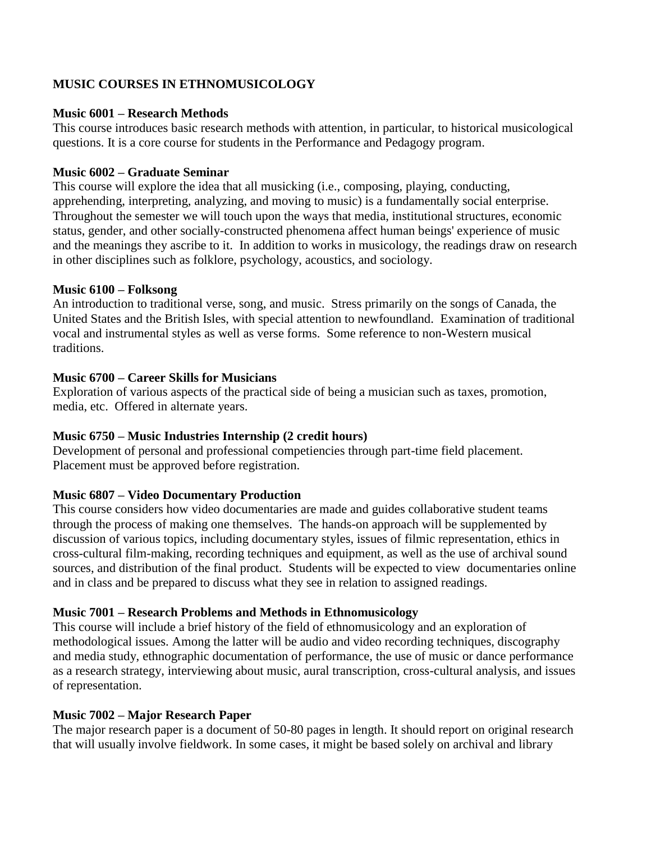# **MUSIC COURSES IN ETHNOMUSICOLOGY**

### **Music 6001 – Research Methods**

This course introduces basic research methods with attention, in particular, to historical musicological questions. It is a core course for students in the Performance and Pedagogy program.

### **Music 6002 – Graduate Seminar**

This course will explore the idea that all musicking (i.e., composing, playing, conducting, apprehending, interpreting, analyzing, and moving to music) is a fundamentally social enterprise. Throughout the semester we will touch upon the ways that media, institutional structures, economic status, gender, and other socially-constructed phenomena affect human beings' experience of music and the meanings they ascribe to it. In addition to works in musicology, the readings draw on research in other disciplines such as folklore, psychology, acoustics, and sociology.

### **Music 6100 – Folksong**

An introduction to traditional verse, song, and music. Stress primarily on the songs of Canada, the United States and the British Isles, with special attention to newfoundland. Examination of traditional vocal and instrumental styles as well as verse forms. Some reference to non-Western musical traditions.

# **Music 6700 – Career Skills for Musicians**

Exploration of various aspects of the practical side of being a musician such as taxes, promotion, media, etc. Offered in alternate years.

# **Music 6750 – Music Industries Internship (2 credit hours)**

Development of personal and professional competiencies through part-time field placement. Placement must be approved before registration.

# **Music 6807 – Video Documentary Production**

This course considers how video documentaries are made and guides collaborative student teams through the process of making one themselves. The hands-on approach will be supplemented by discussion of various topics, including documentary styles, issues of filmic representation, ethics in cross-cultural film-making, recording techniques and equipment, as well as the use of archival sound sources, and distribution of the final product. Students will be expected to view documentaries online and in class and be prepared to discuss what they see in relation to assigned readings.

# **Music 7001 – Research Problems and Methods in Ethnomusicology**

This course will include a brief history of the field of ethnomusicology and an exploration of methodological issues. Among the latter will be audio and video recording techniques, discography and media study, ethnographic documentation of performance, the use of music or dance performance as a research strategy, interviewing about music, aural transcription, cross-cultural analysis, and issues of representation.

# **Music 7002 – Major Research Paper**

The major research paper is a document of 50-80 pages in length. It should report on original research that will usually involve fieldwork. In some cases, it might be based solely on archival and library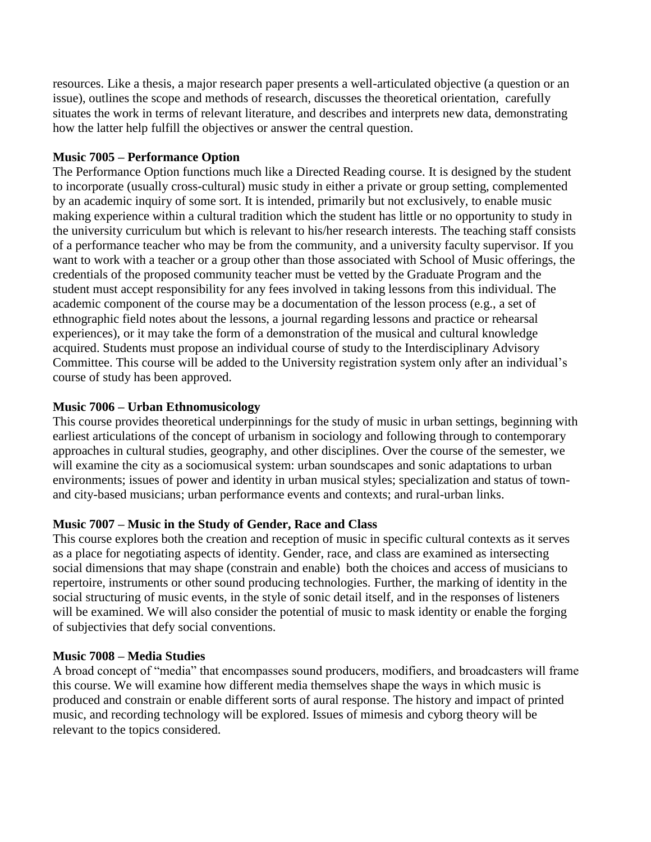resources. Like a thesis, a major research paper presents a well-articulated objective (a question or an issue), outlines the scope and methods of research, discusses the theoretical orientation, carefully situates the work in terms of relevant literature, and describes and interprets new data, demonstrating how the latter help fulfill the objectives or answer the central question.

### **Music 7005 – Performance Option**

The Performance Option functions much like a Directed Reading course. It is designed by the student to incorporate (usually cross-cultural) music study in either a private or group setting, complemented by an academic inquiry of some sort. It is intended, primarily but not exclusively, to enable music making experience within a cultural tradition which the student has little or no opportunity to study in the university curriculum but which is relevant to his/her research interests. The teaching staff consists of a performance teacher who may be from the community, and a university faculty supervisor. If you want to work with a teacher or a group other than those associated with School of Music offerings, the credentials of the proposed community teacher must be vetted by the Graduate Program and the student must accept responsibility for any fees involved in taking lessons from this individual. The academic component of the course may be a documentation of the lesson process (e.g., a set of ethnographic field notes about the lessons, a journal regarding lessons and practice or rehearsal experiences), or it may take the form of a demonstration of the musical and cultural knowledge acquired. Students must propose an individual course of study to the Interdisciplinary Advisory Committee. This course will be added to the University registration system only after an individual's course of study has been approved.

### **Music 7006 – Urban Ethnomusicology**

This course provides theoretical underpinnings for the study of music in urban settings, beginning with earliest articulations of the concept of urbanism in sociology and following through to contemporary approaches in cultural studies, geography, and other disciplines. Over the course of the semester, we will examine the city as a sociomusical system: urban soundscapes and sonic adaptations to urban environments; issues of power and identity in urban musical styles; specialization and status of townand city-based musicians; urban performance events and contexts; and rural-urban links.

# **Music 7007 – Music in the Study of Gender, Race and Class**

This course explores both the creation and reception of music in specific cultural contexts as it serves as a place for negotiating aspects of identity. Gender, race, and class are examined as intersecting social dimensions that may shape (constrain and enable) both the choices and access of musicians to repertoire, instruments or other sound producing technologies. Further, the marking of identity in the social structuring of music events, in the style of sonic detail itself, and in the responses of listeners will be examined. We will also consider the potential of music to mask identity or enable the forging of subjectivies that defy social conventions.

#### **Music 7008 – Media Studies**

A broad concept of "media" that encompasses sound producers, modifiers, and broadcasters will frame this course. We will examine how different media themselves shape the ways in which music is produced and constrain or enable different sorts of aural response. The history and impact of printed music, and recording technology will be explored. Issues of mimesis and cyborg theory will be relevant to the topics considered.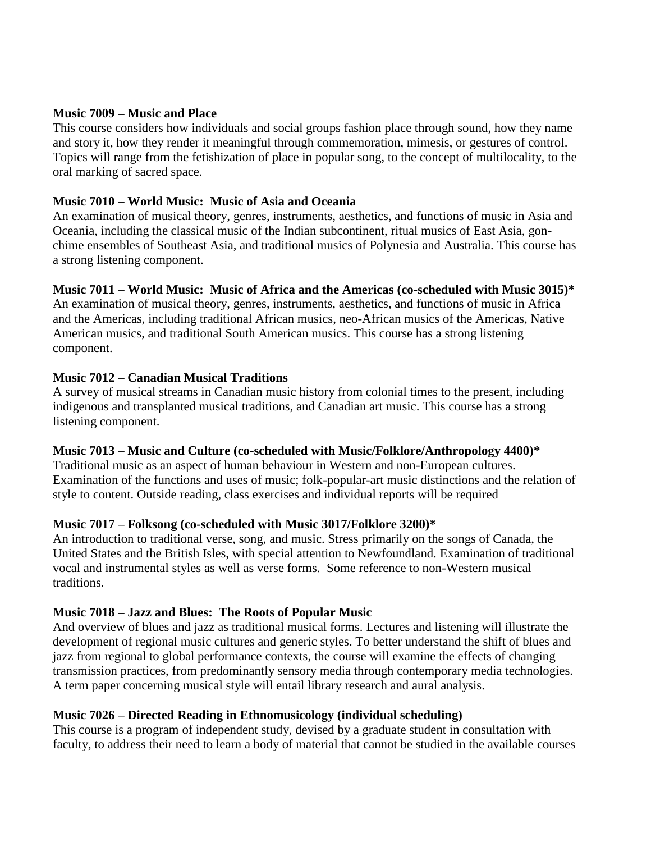#### **Music 7009 – Music and Place**

This course considers how individuals and social groups fashion place through sound, how they name and story it, how they render it meaningful through commemoration, mimesis, or gestures of control. Topics will range from the fetishization of place in popular song, to the concept of multilocality, to the oral marking of sacred space.

#### **Music 7010 – World Music: Music of Asia and Oceania**

An examination of musical theory, genres, instruments, aesthetics, and functions of music in Asia and Oceania, including the classical music of the Indian subcontinent, ritual musics of East Asia, gonchime ensembles of Southeast Asia, and traditional musics of Polynesia and Australia. This course has a strong listening component.

#### **Music 7011 – World Music: Music of Africa and the Americas (co-scheduled with Music 3015)\***

An examination of musical theory, genres, instruments, aesthetics, and functions of music in Africa and the Americas, including traditional African musics, neo-African musics of the Americas, Native American musics, and traditional South American musics. This course has a strong listening component.

#### **Music 7012 – Canadian Musical Traditions**

A survey of musical streams in Canadian music history from colonial times to the present, including indigenous and transplanted musical traditions, and Canadian art music. This course has a strong listening component.

#### **Music 7013 – Music and Culture (co-scheduled with Music/Folklore/Anthropology 4400)\***

Traditional music as an aspect of human behaviour in Western and non-European cultures. Examination of the functions and uses of music; folk-popular-art music distinctions and the relation of style to content. Outside reading, class exercises and individual reports will be required

#### **Music 7017 – Folksong (co-scheduled with Music 3017/Folklore 3200)\***

An introduction to traditional verse, song, and music. Stress primarily on the songs of Canada, the United States and the British Isles, with special attention to Newfoundland. Examination of traditional vocal and instrumental styles as well as verse forms. Some reference to non-Western musical traditions.

#### **Music 7018 – Jazz and Blues: The Roots of Popular Music**

And overview of blues and jazz as traditional musical forms. Lectures and listening will illustrate the development of regional music cultures and generic styles. To better understand the shift of blues and jazz from regional to global performance contexts, the course will examine the effects of changing transmission practices, from predominantly sensory media through contemporary media technologies. A term paper concerning musical style will entail library research and aural analysis.

# **Music 7026 – Directed Reading in Ethnomusicology (individual scheduling)**

This course is a program of independent study, devised by a graduate student in consultation with faculty, to address their need to learn a body of material that cannot be studied in the available courses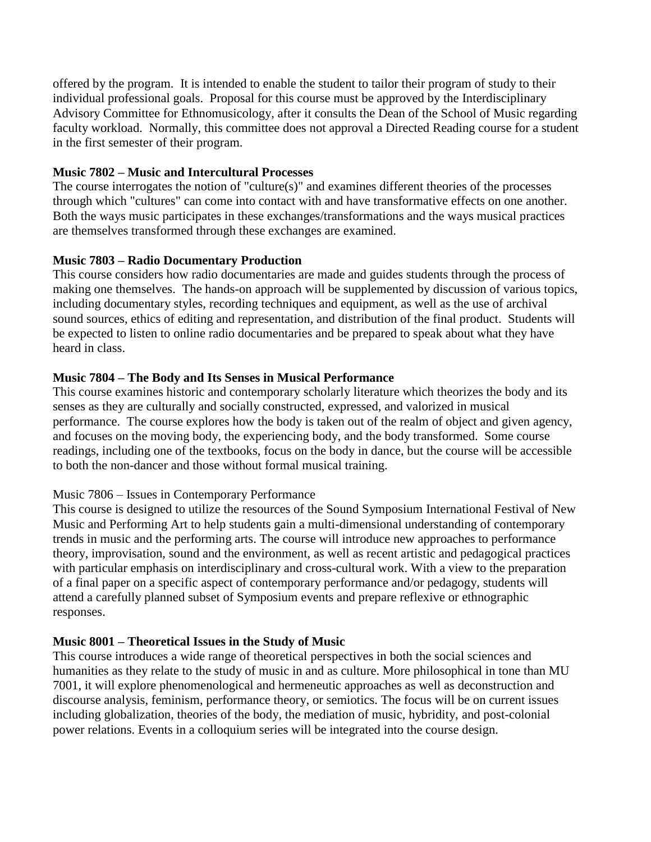offered by the program. It is intended to enable the student to tailor their program of study to their individual professional goals. Proposal for this course must be approved by the Interdisciplinary Advisory Committee for Ethnomusicology, after it consults the Dean of the School of Music regarding faculty workload. Normally, this committee does not approval a Directed Reading course for a student in the first semester of their program.

### **Music 7802 – Music and Intercultural Processes**

The course interrogates the notion of "culture(s)" and examines different theories of the processes through which "cultures" can come into contact with and have transformative effects on one another. Both the ways music participates in these exchanges/transformations and the ways musical practices are themselves transformed through these exchanges are examined.

# **Music 7803 – Radio Documentary Production**

This course considers how radio documentaries are made and guides students through the process of making one themselves. The hands-on approach will be supplemented by discussion of various topics, including documentary styles, recording techniques and equipment, as well as the use of archival sound sources, ethics of editing and representation, and distribution of the final product. Students will be expected to listen to online radio documentaries and be prepared to speak about what they have heard in class.

### **Music 7804 – The Body and Its Senses in Musical Performance**

This course examines historic and contemporary scholarly literature which theorizes the body and its senses as they are culturally and socially constructed, expressed, and valorized in musical performance. The course explores how the body is taken out of the realm of object and given agency, and focuses on the moving body, the experiencing body, and the body transformed. Some course readings, including one of the textbooks, focus on the body in dance, but the course will be accessible to both the non-dancer and those without formal musical training.

#### Music 7806 – Issues in Contemporary Performance

This course is designed to utilize the resources of the Sound Symposium International Festival of New Music and Performing Art to help students gain a multi-dimensional understanding of contemporary trends in music and the performing arts. The course will introduce new approaches to performance theory, improvisation, sound and the environment, as well as recent artistic and pedagogical practices with particular emphasis on interdisciplinary and cross-cultural work. With a view to the preparation of a final paper on a specific aspect of contemporary performance and/or pedagogy, students will attend a carefully planned subset of Symposium events and prepare reflexive or ethnographic responses.

# **Music 8001 – Theoretical Issues in the Study of Music**

This course introduces a wide range of theoretical perspectives in both the social sciences and humanities as they relate to the study of music in and as culture. More philosophical in tone than MU 7001, it will explore phenomenological and hermeneutic approaches as well as deconstruction and discourse analysis, feminism, performance theory, or semiotics. The focus will be on current issues including globalization, theories of the body, the mediation of music, hybridity, and post-colonial power relations. Events in a colloquium series will be integrated into the course design.